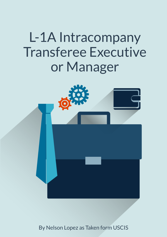# L-1A Intracompany **Transferee Executive** or Manager



By Nelson Lopez as Taken form USCIS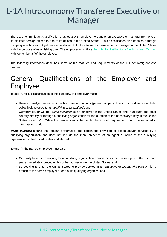## L-1A Intracompany Transferee Executive or Manager

The L-1A nonimmigrant classification enables a U.S. employer to transfer an executive or manager from one of its affiliated foreign offices to one of its offices in the United States. This classification also enables a foreign company which does not yet have an affiliated U.S. office to send an executive or manager to the United States with the purpose of establishing one. The employer must file a [Form I-129, Petition for a Nonimmigrant Worker,](http://www.uscis.gov/I-129) with fee, on behalf of the employee.

The following information describes some of the features and requirements of the L-1 nonimmigrant visa program.

#### General Qualifications of the Employer and Employee

To qualify for L-1 classification in this category, the employer must:

- Have a qualifying relationship with a foreign company (parent company, branch, subsidiary, or affiliate, collectively referred to as qualifying organizations); and
- Currently be, or will be, *doing business* as an employer in the United States and in at least one other country directly or through a qualifying organization for the duration of the beneficiary's stay in the United States as an L-1. While the business must be viable, there is no requirement that it be engaged in international trade.

**Doing business** means the regular, systematic, and continuous provision of goods and/or services by a qualifying organization and does not include the mere presence of an agent or office of the qualifying organization in the United States and abroad.

To qualify, the named employee must also:

- Generally have been working for a qualifying organization abroad for one continuous year within the three years immediately preceding his or her admission to the United States; and
- Be seeking to enter the United States to provide service in an executive or managerial capacity for a branch of the same employer or one of its qualifying organizations.